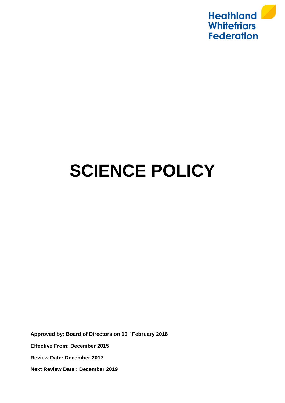

# **SCIENCE POLICY**

**Approved by: Board of Directors on 10th February 2016 Effective From: December 2015 Review Date: December 2017 Next Review Date : December 2019**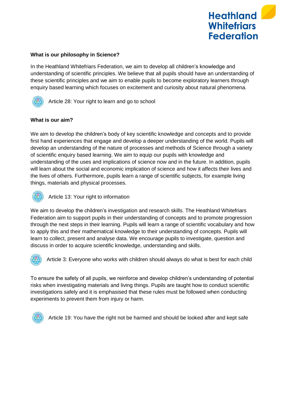

# **What is our philosophy in Science?**

In the Heathland Whitefriars Federation, we aim to develop all children's knowledge and understanding of scientific principles. We believe that all pupils should have an understanding of these scientific principles and we aim to enable pupils to become exploratory learners through enquiry based learning which focuses on excitement and curiosity about natural phenomena.



Article 28: Your right to learn and go to school

# **What is our aim?**

We aim to develop the children's body of key scientific knowledge and concepts and to provide first hand experiences that engage and develop a deeper understanding of the world. Pupils will develop an understanding of the nature of processes and methods of Science through a variety of scientific enquiry based learning. We aim to equip our pupils with knowledge and understanding of the uses and implications of science now and in the future. In addition, pupils will learn about the social and economic implication of science and how it affects their lives and the lives of others. Furthermore, pupils learn a range of scientific subjects, for example living things, materials and physical processes.



Article 13: Your right to information

We aim to develop the children's investigation and research skills. The Heathland Whitefriars Federation aim to support pupils in their understanding of concepts and to promote progression through the next steps in their learning. Pupils will learn a range of scientific vocabulary and how to apply this and their mathematical knowledge to their understanding of concepts. Pupils will learn to collect, present and analyse data. We encourage pupils to investigate, question and discuss in order to acquire scientific knowledge, understanding and skills.



Article 3: Everyone who works with children should always do what is best for each child

To ensure the safety of all pupils, we reinforce and develop children's understanding of potential risks when investigating materials and living things. Pupils are taught how to conduct scientific investigations safely and it is emphasised that these rules must be followed when conducting experiments to prevent them from injury or harm.



Article 19: You have the right not be harmed and should be looked after and kept safe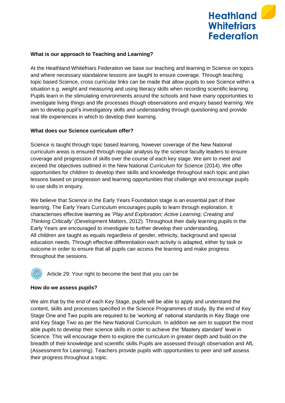

# **What is our approach to Teaching and Learning?**

At the Heathland Whitefriars Federation we base our teaching and learning in Science on topics and where necessary standalone lessons are taught to ensure coverage. Through teaching topic based Science, cross curricular links can be made that allow pupils to see Science within a situation e.g. weight and measuring and using literacy skills when recording scientific learning. Pupils learn in the stimulating environments around the schools and have many opportunities to investigate living things and life processes though observations and enquiry based learning. We aim to develop pupil's investigatory skills and understanding through questioning and provide real life experiences in which to develop their learning.

# **What does our Science curriculum offer?**

Science is taught through topic based learning, however coverage of the New National curriculum areas is ensured through regular analysis by the science faculty leaders to ensure coverage and progression of skills over the course of each key stage. We aim to meet and exceed the objectives outlined in the New National Curriculum for Science (2014). We offer opportunities for children to develop their skills and knowledge throughout each topic and plan lessons based on progression and learning opportunities that challenge and encourage pupils to use skills in enquiry.

We believe that Science in the Early Years Foundation stage is an essential part of their learning. The Early Years Curriculum encourages pupils to learn through exploration. It characterises effective learning as '*Play and Exploration; Active Learning; Creating and Thinking Critically'* (Development Matters, 2012). Throughout their daily learning pupils in the Early Years are encouraged to investigate to further develop their understanding. All children are taught as equals regardless of gender, ethnicity, background and special education needs. Through effective differentiation each activity is adapted, either by task or outcome in order to ensure that all pupils can access the learning and make progress throughout the sessions.



# **How do we assess pupils?**

We aim that by the end of each Key Stage, pupils will be able to apply and understand the content, skills and processes specified in the Science Programmes of study. By the end of Key Stage One and Two pupils are required to be 'working at' national standards in Key Stage one and Key Stage Two as per the New National Curriculum. In addition we aim to support the most able pupils to develop their science skills in order to achieve the 'Mastery standard' level in Science. This will encourage them to explore the curriculum in greater depth and build on the breadth of their knowledge and scientific skills.Pupils are assessed through observation and AfL (Assessment for Learning). Teachers provide pupils with opportunities to peer and self assess their progress throughout a topic.